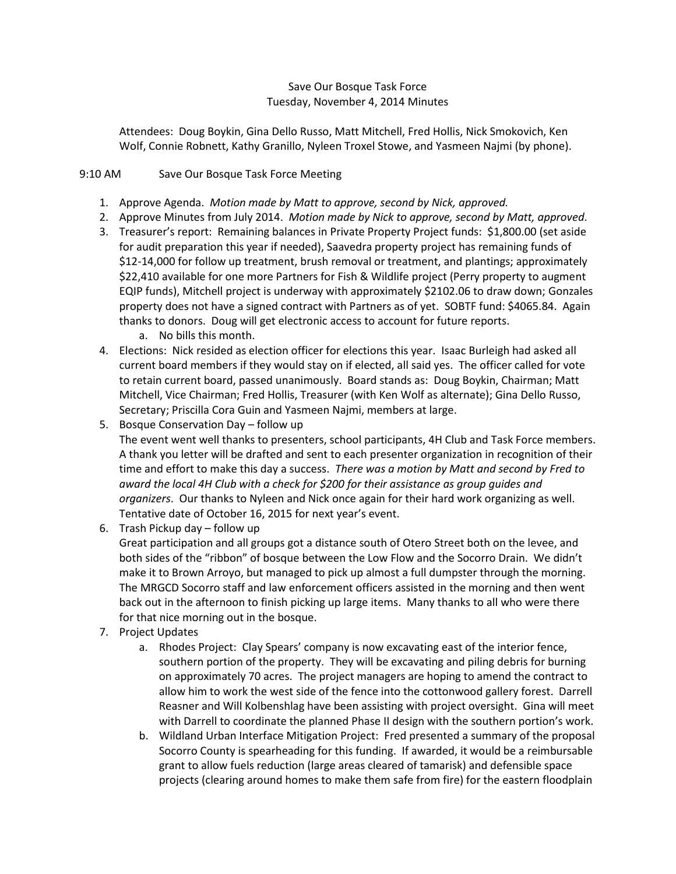## Save Our Bosque Task Force Tuesday, November 4, 2014 Minutes

Attendees: Doug Boykin, Gina Dello Russo, Matt Mitchell, Fred Hollis, Nick Smokovich, Ken Wolf, Connie Robnett, Kathy Granillo, Nyleen Troxel Stowe, and Yasmeen Najmi (by phone).

## 9:10 AM Save Our Bosque Task Force Meeting

- 1. Approve Agenda. *Motion made by Matt to approve, second by Nick, approved.*
- 2. Approve Minutes from July 2014. *Motion made by Nick to approve, second by Matt, approved*.
- 3. Treasurer's report: Remaining balances in Private Property Project funds: \$1,800.00 (set aside for audit preparation this year if needed), Saavedra property project has remaining funds of \$12-14,000 for follow up treatment, brush removal or treatment, and plantings; approximately \$22,410 available for one more Partners for Fish & Wildlife project (Perry property to augment EQIP funds), Mitchell project is underway with approximately \$2102.06 to draw down; Gonzales property does not have a signed contract with Partners as of yet. SOBTF fund: \$4065.84. Again thanks to donors. Doug will get electronic access to account for future reports.
	- a. No bills this month.
- 4. Elections: Nick resided as election officer for elections this year. Isaac Burleigh had asked all current board members if they would stay on if elected, all said yes. The officer called for vote to retain current board, passed unanimously. Board stands as: Doug Boykin, Chairman; Matt Mitchell, Vice Chairman; Fred Hollis, Treasurer (with Ken Wolf as alternate); Gina Dello Russo, Secretary; Priscilla Cora Guin and Yasmeen Najmi, members at large.
- 5. Bosque Conservation Day follow up

The event went well thanks to presenters, school participants, 4H Club and Task Force members. A thank you letter will be drafted and sent to each presenter organization in recognition of their time and effort to make this day a success. *There was a motion by Matt and second by Fred to award the local 4H Club with a check for \$200 for their assistance as group guides and organizers*. Our thanks to Nyleen and Nick once again for their hard work organizing as well. Tentative date of October 16, 2015 for next year's event.

6. Trash Pickup day – follow up

Great participation and all groups got a distance south of Otero Street both on the levee, and both sides of the "ribbon" of bosque between the Low Flow and the Socorro Drain. We didn't make it to Brown Arroyo, but managed to pick up almost a full dumpster through the morning. The MRGCD Socorro staff and law enforcement officers assisted in the morning and then went back out in the afternoon to finish picking up large items. Many thanks to all who were there for that nice morning out in the bosque.

- 7. Project Updates
	- a. Rhodes Project: Clay Spears' company is now excavating east of the interior fence, southern portion of the property. They will be excavating and piling debris for burning on approximately 70 acres. The project managers are hoping to amend the contract to allow him to work the west side of the fence into the cottonwood gallery forest. Darrell Reasner and Will Kolbenshlag have been assisting with project oversight. Gina will meet with Darrell to coordinate the planned Phase II design with the southern portion's work.
	- b. Wildland Urban Interface Mitigation Project: Fred presented a summary of the proposal Socorro County is spearheading for this funding. If awarded, it would be a reimbursable grant to allow fuels reduction (large areas cleared of tamarisk) and defensible space projects (clearing around homes to make them safe from fire) for the eastern floodplain